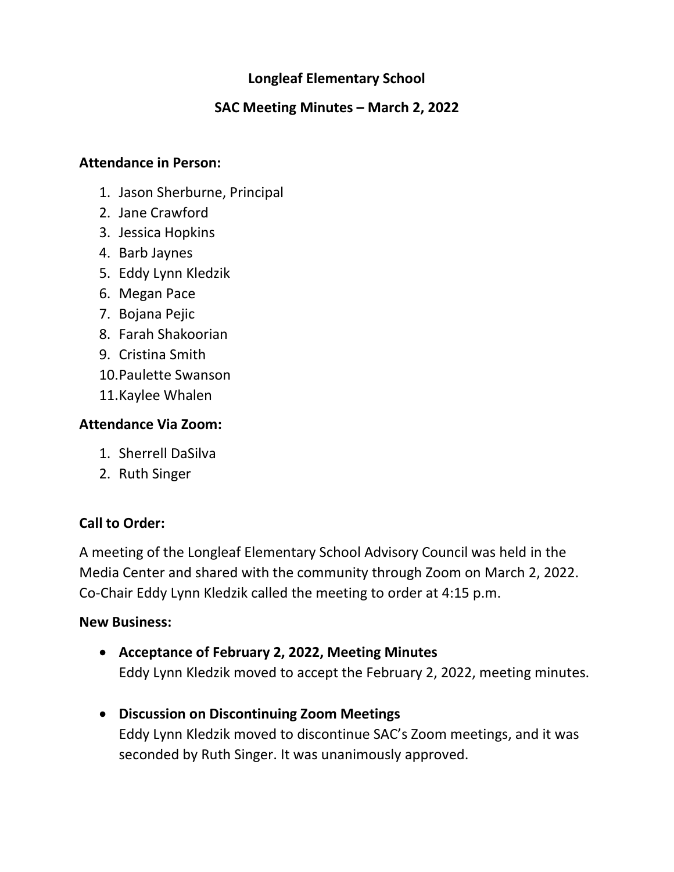# **Longleaf Elementary School**

## **SAC Meeting Minutes – March 2, 2022**

#### **Attendance in Person:**

- 1. Jason Sherburne, Principal
- 2. Jane Crawford
- 3. Jessica Hopkins
- 4. Barb Jaynes
- 5. Eddy Lynn Kledzik
- 6. Megan Pace
- 7. Bojana Pejic
- 8. Farah Shakoorian
- 9. Cristina Smith
- 10.Paulette Swanson
- 11.Kaylee Whalen

### **Attendance Via Zoom:**

- 1. Sherrell DaSilva
- 2. Ruth Singer

# **Call to Order:**

A meeting of the Longleaf Elementary School Advisory Council was held in the Media Center and shared with the community through Zoom on March 2, 2022. Co-Chair Eddy Lynn Kledzik called the meeting to order at 4:15 p.m.

#### **New Business:**

- **Acceptance of February 2, 2022, Meeting Minutes** Eddy Lynn Kledzik moved to accept the February 2, 2022, meeting minutes.
- **Discussion on Discontinuing Zoom Meetings** Eddy Lynn Kledzik moved to discontinue SAC's Zoom meetings, and it was seconded by Ruth Singer. It was unanimously approved.